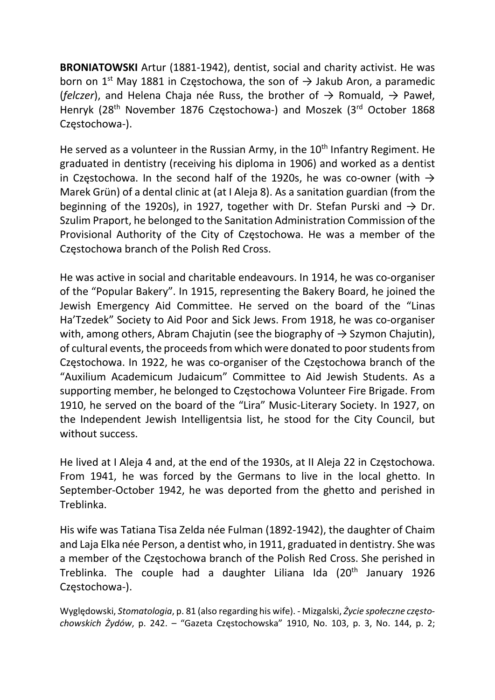BRONIATOWSKI Artur (1881-1942), dentist, social and charity activist. He was born on 1<sup>st</sup> May 1881 in Częstochowa, the son of  $\rightarrow$  Jakub Aron, a paramedic (felczer), and Helena Chaia née Russ, the brother of  $\rightarrow$  Romuald,  $\rightarrow$  Paweł, Henryk (28<sup>th</sup> November 1876 Częstochowa-) and Moszek (3<sup>rd</sup> October 1868 Częstochowa-).

He served as a volunteer in the Russian Army, in the  $10<sup>th</sup>$  Infantry Regiment. He graduated in dentistry (receiving his diploma in 1906) and worked as a dentist in Czestochowa. In the second half of the 1920s, he was co-owner (with  $\rightarrow$ Marek Grün) of a dental clinic at (at I Aleja 8). As a sanitation guardian (from the beginning of the 1920s), in 1927, together with Dr. Stefan Purski and  $\rightarrow$  Dr. Szulim Praport, he belonged to the Sanitation Administration Commission of the Provisional Authority of the City of Częstochowa. He was a member of the Częstochowa branch of the Polish Red Cross.

He was active in social and charitable endeavours. In 1914, he was co-organiser of the "Popular Bakery". In 1915, representing the Bakery Board, he joined the Jewish Emergency Aid Committee. He served on the board of the "Linas Ha'Tzedek" Society to Aid Poor and Sick Jews. From 1918, he was co-organiser with, among others, Abram Chajutin (see the biography of  $\rightarrow$  Szymon Chajutin), of cultural events, the proceeds from which were donated to poor students from Częstochowa. In 1922, he was co-organiser of the Częstochowa branch of the "Auxilium Academicum Judaicum" Committee to Aid Jewish Students. As a supporting member, he belonged to Częstochowa Volunteer Fire Brigade. From 1910, he served on the board of the "Lira" Music-Literary Society. In 1927, on the Independent Jewish Intelligentsia list, he stood for the City Council, but without success.

He lived at I Aleja 4 and, at the end of the 1930s, at II Aleja 22 in Częstochowa. From 1941, he was forced by the Germans to live in the local ghetto. In September-October 1942, he was deported from the ghetto and perished in Treblinka.

His wife was Tatiana Tisa Zelda née Fulman (1892-1942), the daughter of Chaim and Laja Elka née Person, a dentist who, in 1911, graduated in dentistry. She was a member of the Częstochowa branch of the Polish Red Cross. She perished in Treblinka. The couple had a daughter Liliana Ida (20<sup>th</sup> January 1926 Częstochowa-).

Wyględowski, Stomatologia, p. 81 (also regarding his wife). - Mizgalski, Życie społeczne częstochowskich Żydów, p. 242. – "Gazeta Częstochowska" 1910, No. 103, p. 3, No. 144, p. 2;